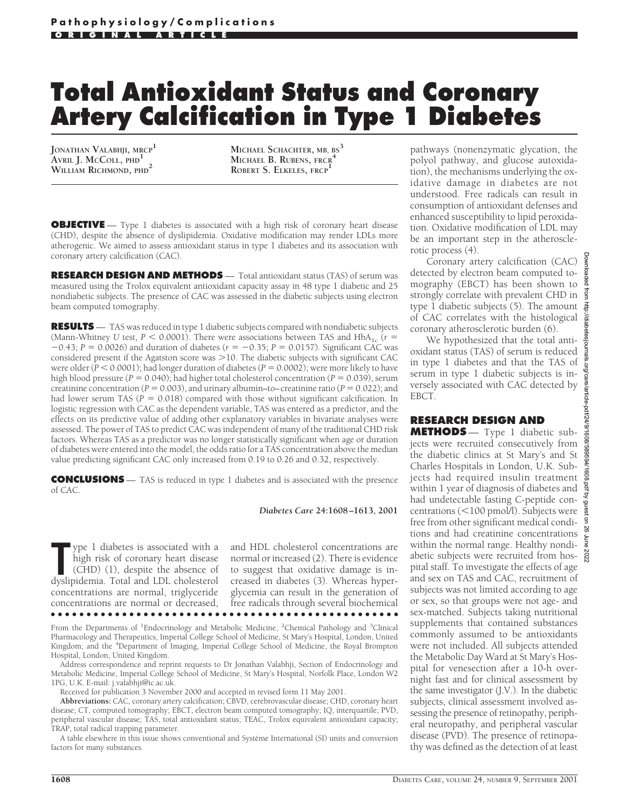# **Total Antioxidant Status and Coronary Artery Calcification in Type 1 Diabetes**

**JONATHAN VALABHJI, MRCP1 AVRIL J. MCCOLL, PHD1 WILLIAM RICHMOND, PHD2**

**MICHAEL SCHACHTER, MB, BS3 MICHAEL B. RUBENS, FRCR<sup>4</sup> ROBERT S. ELKELES, FRCP<sup>1</sup>**

**OBJECTIVE** — Type 1 diabetes is associated with a high risk of coronary heart disease (CHD), despite the absence of dyslipidemia. Oxidative modification may render LDLs more atherogenic. We aimed to assess antioxidant status in type 1 diabetes and its association with coronary artery calcification (CAC).

**RESEARCH DESIGN AND METHODS** — Total antioxidant status (TAS) of serum was measured using the Trolox equivalent antioxidant capacity assay in 48 type 1 diabetic and 25 nondiabetic subjects. The presence of CAC was assessed in the diabetic subjects using electron beam computed tomography.

**RESULTS** — TAS was reduced in type 1 diabetic subjects compared with nondiabetic subjects (Mann-Whitney *U* test,  $P < 0.0001$ ). There were associations between TAS and HbA<sub>1c</sub> ( $r =$  $-0.43$ ; *P* = 0.0026) and duration of diabetes ( $r = -0.35$ ; *P* = 0.0157). Significant CAC was considered present if the Agatston score was >10. The diabetic subjects with significant CAC were older  $(P < 0.0001)$ ; had longer duration of diabetes  $(P = 0.0002)$ ; were more likely to have high blood pressure ( $P = 0.040$ ); had higher total cholesterol concentration ( $P = 0.039$ ), serum creatinine concentration ( $P = 0.003$ ), and urinary albumin–to–creatinine ratio ( $P = 0.022$ ); and had lower serum TAS ( $P = 0.018$ ) compared with those without significant calcification. In logistic regression with CAC as the dependent variable, TAS was entered as a predictor, and the effects on its predictive value of adding other explanatory variables in bivariate analyses were assessed. The power of TAS to predict CAC was independent of many of the traditional CHD risk factors. Whereas TAS as a predictor was no longer statistically significant when age or duration of diabetes were entered into the model, the odds ratio for a TAS concentration above the median value predicting significant CAC only increased from 0.19 to 0.26 and 0.32, respectively.

**CONCLUSIONS** — TAS is reduced in type 1 diabetes and is associated with the presence of CAC.

#### *Diabetes Care* **24:1608–1613, 2001**

The ype 1 diabetes is associated with a high risk of coronary heart disease (CHD) (1), despite the absence of dyslipidemia. Total and LDL cholesterol ype 1 diabetes is associated with a high risk of coronary heart disease (CHD) (1), despite the absence of concentrations are normal, triglyceride concentrations are normal or decreased, ●●●●●●●●●●●●●●●●●●●●●●●●●●●●●●●●●●●●●●●●●●●●●●●●●

and HDL cholesterol concentrations are normal or increased (2). There is evidence to suggest that oxidative damage is increased in diabetes (3). Whereas hyperglycemia can result in the generation of free radicals through several biochemical

From the Departments of <sup>1</sup>Endocrinology and Metabolic Medicine, <sup>2</sup>Chemical Pathology and <sup>3</sup>Clinical Pharmacology and Therapeutics, Imperial College School of Medicine, St Mary's Hospital, London, United Kingdom; and the <sup>4</sup> Department of Imaging, Imperial College School of Medicine, the Royal Brompton Hospital, London, United Kingdom.

Address correspondence and reprint requests to Dr Jonathan Valabhji, Section of Endocrinology and Metabolic Medicine, Imperial College School of Medicine, St Mary's Hospital, Norfolk Place, London W2 1PG, U.K. E-mail: j.valabhji@ic.ac.uk.

Received for publication 3 November 2000 and accepted in revised form 11 May 2001.

**Abbreviations:** CAC, coronary artery calcification; CBVD, cerebrovascular disease; CHD, coronary heart disease; CT, computed tomography; EBCT, electron beam computed tomography; IQ, interquartile; PVD, peripheral vascular disease; TAS, total antioxidant status; TEAC, Trolox equivalent antioxidant capacity; TRAP, total radical trapping parameter.

A table elsewhere in this issue shows conventional and Système International (SI) units and conversion factors for many substances.

pathways (nonenzymatic glycation, the polyol pathway, and glucose autoxidation), the mechanisms underlying the oxidative damage in diabetes are not understood. Free radicals can result in consumption of antioxidant defenses and enhanced susceptibility to lipid peroxidation. Oxidative modification of LDL may be an important step in the atherosclerotic process (4).

Coronary artery calcification (CAC) detected by electron beam computed tomography (EBCT) has been shown to strongly correlate with prevalent CHD in type 1 diabetic subjects (5). The amount of CAC correlates with the histological coronary atherosclerotic burden (6).

We hypothesized that the total antioxidant status (TAS) of serum is reduced in type 1 diabetes and that the TAS of serum in type 1 diabetic subjects is inversely associated with CAC detected by EBCT.

# **RESEARCH DESIGN AND**

**METHODS** — Type 1 diabetic subjects were recruited consecutively from the diabetic clinics at St Mary's and St Charles Hospitals in London, U.K. Subjects had required insulin treatment within 1 year of diagnosis of diabetes and had undetectable fasting C-peptide concentrations (<100 pmol/l). Subjects were free from other significant medical conditions and had creatinine concentrations within the normal range. Healthy nondiabetic subjects were recruited from hospital staff. To investigate the effects of age and sex on TAS and CAC, recruitment of subjects was not limited according to age or sex, so that groups were not age- and sex-matched. Subjects taking nutritional supplements that contained substances commonly assumed to be antioxidants were not included. All subjects attended the Metabolic Day Ward at St Mary's Hospital for venesection after a 10-h overnight fast and for clinical assessment by the same investigator (J.V.). In the diabetic subjects, clinical assessment involved assessing the presence of retinopathy, peripheral neuropathy, and peripheral vascular disease (PVD). The presence of retinopathy was defined as the detection of at least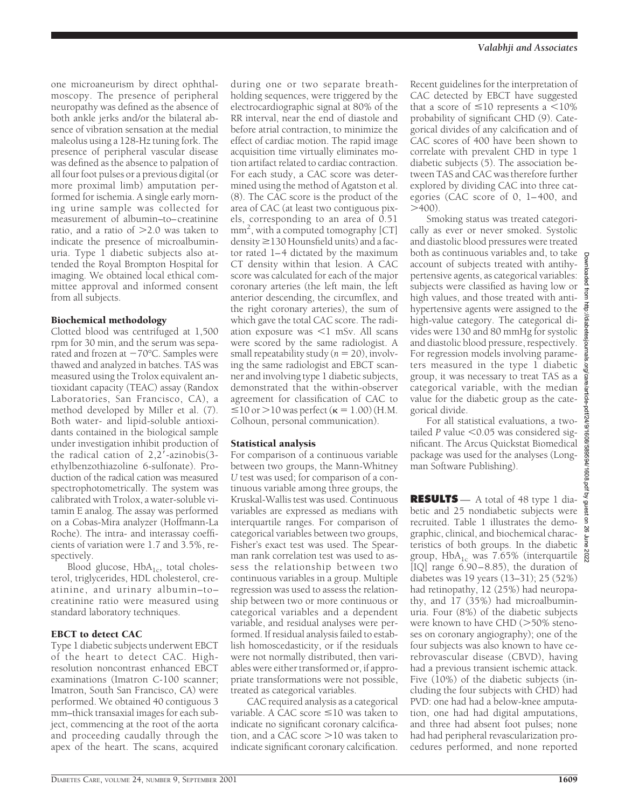one microaneurism by direct ophthalmoscopy. The presence of peripheral neuropathy was defined as the absence of both ankle jerks and/or the bilateral absence of vibration sensation at the medial maleolus using a 128-Hz tuning fork. The presence of peripheral vascular disease was defined as the absence to palpation of all four foot pulses or a previous digital (or more proximal limb) amputation performed for ischemia. A single early morning urine sample was collected for measurement of albumin–to–creatinine ratio, and a ratio of  $>2.0$  was taken to indicate the presence of microalbuminuria. Type 1 diabetic subjects also attended the Royal Brompton Hospital for imaging. We obtained local ethical committee approval and informed consent from all subjects.

## Biochemical methodology

Clotted blood was centrifuged at 1,500 rpm for 30 min, and the serum was separated and frozen at  $-70^{\circ}$ C. Samples were thawed and analyzed in batches. TAS was measured using the Trolox equivalent antioxidant capacity (TEAC) assay (Randox Laboratories, San Francisco, CA), a method developed by Miller et al. (7). Both water- and lipid-soluble antioxidants contained in the biological sample under investigation inhibit production of the radical cation of  $2,2'$ -azinobis(3ethylbenzothiazoline 6-sulfonate). Production of the radical cation was measured spectrophotometrically. The system was calibrated with Trolox, a water-soluble vitamin E analog. The assay was performed on a Cobas-Mira analyzer (Hoffmann-La Roche). The intra- and interassay coefficients of variation were 1.7 and 3.5%, respectively.

Blood glucose,  $HbA_{1c}$ , total cholesterol, triglycerides, HDL cholesterol, creatinine, and urinary albumin–to– creatinine ratio were measured using standard laboratory techniques.

## EBCT to detect CAC

Type 1 diabetic subjects underwent EBCT of the heart to detect CAC. Highresolution noncontrast enhanced EBCT examinations (Imatron C-100 scanner; Imatron, South San Francisco, CA) were performed. We obtained 40 contiguous 3 mm–thick transaxial images for each subject, commencing at the root of the aorta and proceeding caudally through the apex of the heart. The scans, acquired during one or two separate breathholding sequences, were triggered by the electrocardiographic signal at 80% of the RR interval, near the end of diastole and before atrial contraction, to minimize the effect of cardiac motion. The rapid image acquisition time virtually eliminates motion artifact related to cardiac contraction. For each study, a CAC score was determined using the method of Agatston et al. (8). The CAC score is the product of the area of CAC (at least two contiguous pixels, corresponding to an area of 0.51 mm2 , with a computed tomography [CT] density  $\geq$  130 Hounsfield units) and a factor rated 1–4 dictated by the maximum CT density within that lesion. A CAC score was calculated for each of the major coronary arteries (the left main, the left anterior descending, the circumflex, and the right coronary arteries), the sum of which gave the total CAC score. The radiation exposure was  $\leq 1$  mSv. All scans were scored by the same radiologist. A small repeatability study  $(n = 20)$ , involving the same radiologist and EBCT scanner and involving type 1 diabetic subjects, demonstrated that the within-observer agreement for classification of CAC to  $\leq$ 10 or  $>$ 10 was perfect ( $\kappa$  = 1.00) (H.M. Colhoun, personal communication).

# Statistical analysis

For comparison of a continuous variable between two groups, the Mann-Whitney *U* test was used; for comparison of a continuous variable among three groups, the Kruskal-Wallis test was used. Continuous variables are expressed as medians with interquartile ranges. For comparison of categorical variables between two groups, Fisher's exact test was used. The Spearman rank correlation test was used to assess the relationship between two continuous variables in a group. Multiple regression was used to assess the relationship between two or more continuous or categorical variables and a dependent variable, and residual analyses were performed. If residual analysis failed to establish homoscedasticity, or if the residuals were not normally distributed, then variables were either transformed or, if appropriate transformations were not possible, treated as categorical variables.

CAC required analysis as a categorical variable. A CAC score  $\leq 10$  was taken to indicate no significant coronary calcification, and a CAC score  $>10$  was taken to indicate significant coronary calcification.

Recent guidelines for the interpretation of CAC detected by EBCT have suggested that a score of  $\leq 10$  represents a  $\leq 10\%$ probability of significant CHD (9). Categorical divides of any calcification and of CAC scores of 400 have been shown to correlate with prevalent CHD in type 1 diabetic subjects (5). The association between TAS and CAC was therefore further explored by dividing CAC into three categories (CAC score of 0, 1–400, and  $>400$ ).

Smoking status was treated categorically as ever or never smoked. Systolic and diastolic blood pressures were treated both as continuous variables and, to take account of subjects treated with antihypertensive agents, as categorical variables: subjects were classified as having low or high values, and those treated with antihypertensive agents were assigned to the high-value category. The categorical divides were 130 and 80 mmHg for systolic and diastolic blood pressure, respectively. For regression models involving parameters measured in the type 1 diabetic group, it was necessary to treat TAS as a categorical variable, with the median value for the diabetic group as the categorical divide.

For all statistical evaluations, a twotailed  $P$  value  $<$  0.05 was considered significant. The Arcus Quickstat Biomedical package was used for the analyses (Longman Software Publishing).

**RESULTS** — A total of 48 type 1 diabetic and 25 nondiabetic subjects were recruited. Table 1 illustrates the demographic, clinical, and biochemical characteristics of both groups. In the diabetic group,  $HbA_{1c}$  was 7.65% (interquartile [IQ] range 6.90–8.85), the duration of diabetes was 19 years (13–31); 25 (52%) had retinopathy, 12 (25%) had neuropathy, and 17 (35%) had microalbuminuria. Four (8%) of the diabetic subjects were known to have CHD  $(>50\%$  stenoses on coronary angiography); one of the four subjects was also known to have cerebrovascular disease (CBVD), having had a previous transient ischemic attack. Five (10%) of the diabetic subjects (including the four subjects with CHD) had PVD: one had had a below-knee amputation, one had had digital amputations, and three had absent foot pulses; none had had peripheral revascularization procedures performed, and none reported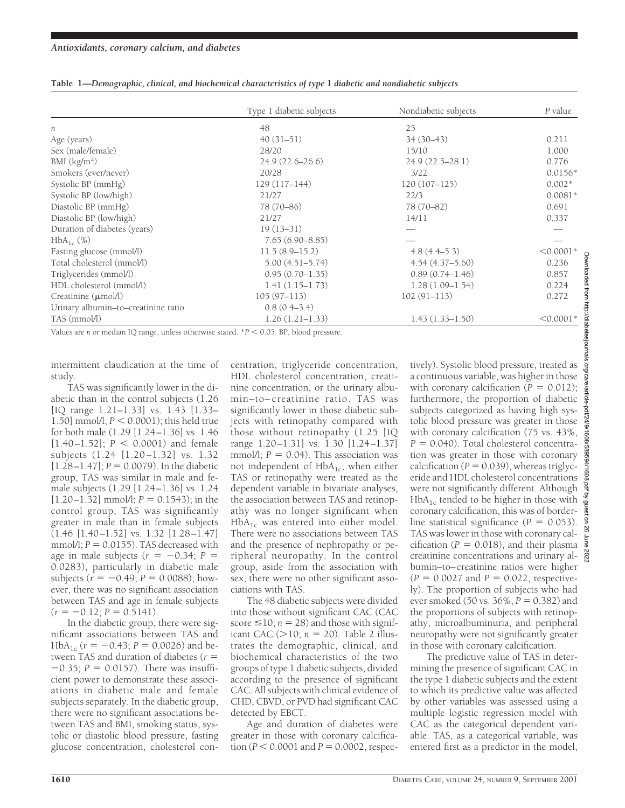|                                     | Type 1 diabetic subjects | Nondiabetic subjects | P value     |
|-------------------------------------|--------------------------|----------------------|-------------|
| n                                   | 48                       | 25                   |             |
| Age (years)                         | $40(31-51)$              | $34(30-43)$          | 0.211       |
| Sex (male/female)                   | 28/20                    | 15/10                | 1.000       |
| BMI (kg/m <sup>2</sup> )            | $24.9(22.6 - 26.6)$      | $24.9(22.5 - 28.1)$  | 0.776       |
| Smokers (ever/never)                | 20/28                    | 3/22                 | $0.0156*$   |
| Systolic BP (mmHg)                  | $129(117-144)$           | $120(107-125)$       | $0.002*$    |
| Systolic BP (low/high)              | 21/27                    | 22/3                 | $0.0081*$   |
| Diastolic BP (mmHg)                 | 78 (70-86)               | 78 (70-82)           | 0.691       |
| Diastolic BP (low/high)             | 21/27                    | 14/11                | 0.337       |
| Duration of diabetes (years)        | $19(13-31)$              |                      |             |
| $HbA_{1c}(\%)$                      | $7.65(6.90 - 8.85)$      |                      |             |
| Fasting glucose (mmol/l)            | $11.5(8.9-15.2)$         | $4.8(4.4-5.3)$       | $< 0.0001*$ |
| Total cholesterol (mmol/l)          | $5.00(4.51 - 5.74)$      | $4.54(4.37-5.60)$    | 0.236       |
| Triglycerides (mmol/l)              | $0.95(0.70 - 1.35)$      | $0.89(0.74 - 1.46)$  | 0.857       |
| HDL cholesterol (mmol/l)            | $1.41(1.15-1.73)$        | $1.28(1.09-1.54)$    | 0.224       |
| Creatinine $(\mu \text{mol/l})$     | $105(97-113)$            | $102(91 - 113)$      | 0.272       |
| Urinary albumin-to-creatinine ratio | $0.8(0.4-3.4)$           |                      |             |
| TAS (mmol/l)                        | $1.26(1.21-1.33)$        | $1.43(1.33 - 1.50)$  | $< 0.0001*$ |

**Table 1—***Demographic, clinical, and biochemical characteristics of type 1 diabetic and nondiabetic subjects*

Values are *n* or median IQ range, unless otherwise stated.  $*P < 0.05$ . BP, blood pressure.

intermittent claudication at the time of study.

TAS was significantly lower in the diabetic than in the control subjects (1.26 [IQ range 1.21–1.33] vs. 1.43 [1.33– 1.50] mmol/l;  $P < 0.0001$ ); this held true for both male (1.29 [1.24–1.36] vs. 1.46  $[1.40-1.52]$ ;  $P < 0.0001$ ) and female subjects (1.24 [1.20–1.32] vs. 1.32  $[1.28-1.47]$ ;  $P = 0.0079$ ). In the diabetic group, TAS was similar in male and female subjects (1.29 [1.24–1.36] vs. 1.24  $[1.20-1.32]$  mmol/l;  $P = 0.1543$ ); in the control group, TAS was significantly greater in male than in female subjects (1.46 [1.40–1.52] vs. 1.32 [1.28–1.47] mmol $\Lambda$ ;  $P = 0.0155$ ). TAS decreased with age in male subjects ( $r = -0.34$ ;  $P =$ 0.0283), particularly in diabetic male subjects  $(r = -0.49; P = 0.0088)$ ; however, there was no significant association between TAS and age in female subjects  $(r = -0.12; P = 0.5141).$ 

In the diabetic group, there were significant associations between TAS and HbA<sub>1c</sub> ( $r = -0.43$ ;  $P = 0.0026$ ) and between TAS and duration of diabetes ( $r =$  $-0.35$ :  $P = 0.0157$ ). There was insufficient power to demonstrate these associations in diabetic male and female subjects separately. In the diabetic group, there were no significant associations between TAS and BMI, smoking status, systolic or diastolic blood pressure, fasting glucose concentration, cholesterol concentration, triglyceride concentration, HDL cholesterol concentration, creatinine concentration, or the urinary albumin–to–creatinine ratio. TAS was significantly lower in those diabetic subjects with retinopathy compared with those without retinopathy (1.25 [IQ range 1.20–1.31] vs. 1.30 [1.24–1.37] mmol/l;  $P = 0.04$ ). This association was not independent of  $HbA_{1c}$ ; when either TAS or retinopathy were treated as the dependent variable in bivariate analyses, the association between TAS and retinopathy was no longer significant when  $HbA_{1c}$  was entered into either model. There were no associations between TAS and the presence of nephropathy or peripheral neuropathy. In the control group, aside from the association with sex, there were no other significant associations with TAS.

The 48 diabetic subjects were divided into those without significant CAC (CAC score  $\leq 10$ ;  $n = 28$ ) and those with significant CAC ( $> 10$ ; *n* = 20). Table 2 illustrates the demographic, clinical, and biochemical characteristics of the two groups of type 1 diabetic subjects, divided according to the presence of significant CAC. All subjects with clinical evidence of CHD, CBVD, or PVD had significant CAC detected by EBCT.

Age and duration of diabetes were greater in those with coronary calcification ( $P < 0.0001$  and  $P = 0.0002$ , respectively). Systolic blood pressure, treated as a continuous variable, was higher in those with coronary calcification  $(P = 0.012)$ ; furthermore, the proportion of diabetic subjects categorized as having high systolic blood pressure was greater in those with coronary calcification (75 vs. 43%,  $P = 0.040$ . Total cholesterol concentration was greater in those with coronary calcification ( $P = 0.039$ ), whereas triglyceride and HDL cholesterol concentrations were not significantly different. Although  $HbA_{1c}$  tended to be higher in those with coronary calcification, this was of borderline statistical significance  $(P = 0.053)$ . TAS was lower in those with coronary calcification ( $P = 0.018$ ), and their plasma creatinine concentrations and urinary albumin–to–creatinine ratios were higher  $(P = 0.0027 \text{ and } P = 0.022, \text{ respective-}$ ly). The proportion of subjects who had ever smoked (50 vs.  $36\%, P = 0.382$ ) and the proportions of subjects with retinopathy, microalbuminuria, and peripheral neuropathy were not significantly greater in those with coronary calcification.

The predictive value of TAS in determining the presence of significant CAC in the type 1 diabetic subjects and the extent to which its predictive value was affected by other variables was assessed using a multiple logistic regression model with CAC as the categorical dependent variable. TAS, as a categorical variable, was entered first as a predictor in the model,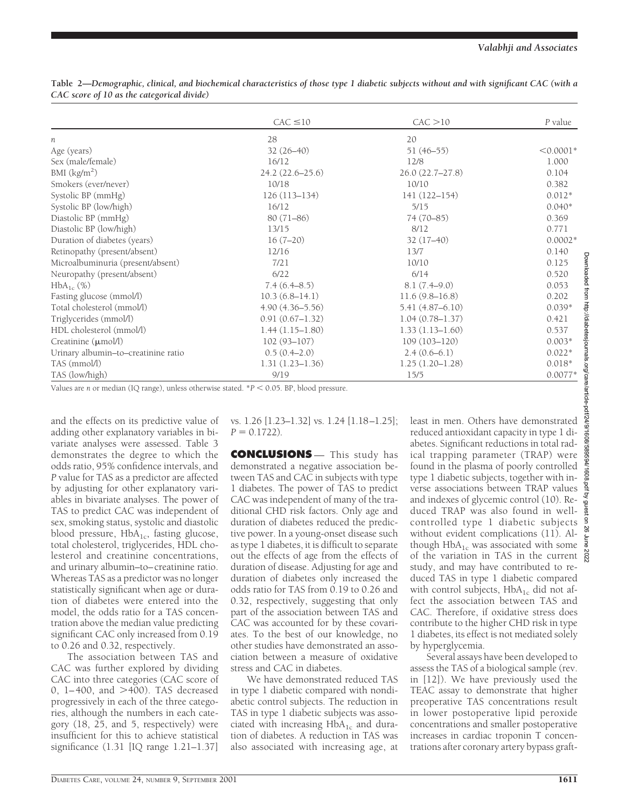|                                     | $CAC \leq 10$       | CAC > 10            | P value     |
|-------------------------------------|---------------------|---------------------|-------------|
|                                     |                     |                     |             |
| n                                   | 28                  | 20                  |             |
| Age (years)                         | $32(26-40)$         | $51(46-55)$         | $< 0.0001*$ |
| Sex (male/female)                   | 16/12               | 12/8                | 1.000       |
| BMI $(kg/m2)$                       | $24.2(22.6 - 25.6)$ | 26.0 (22.7-27.8)    | 0.104       |
| Smokers (ever/never)                | 10/18               | 10/10               | 0.382       |
| Systolic BP (mmHg)                  | $126(113 - 134)$    | 141 (122-154)       | $0.012*$    |
| Systolic BP (low/high)              | 16/12               | 5/15                | $0.040*$    |
| Diastolic BP (mmHg)                 | $80(71 - 86)$       | 74 (70-85)          | 0.369       |
| Diastolic BP (low/high)             | 13/15               | 8/12                | 0.771       |
| Duration of diabetes (years)        | $16(7-20)$          | $32(17-40)$         | $0.0002*$   |
| Retinopathy (present/absent)        | 12/16               | 13/7                | 0.140       |
| Microalbuminuria (present/absent)   | 7/21                | 10/10               | 0.125       |
| Neuropathy (present/absent)         | 6/22                | 6/14                | 0.520       |
| $HbA_{1c}$ (%)                      | 7.4(6.4–8.5)        | $8.1(7.4-9.0)$      | 0.053       |
| Fasting glucose (mmol/l)            | $10.3(6.8-14.1)$    | 11.6(9.8–16.8)      | 0.202       |
| Total cholesterol (mmol/l)          | $4.90(4.36 - 5.56)$ | $5.41(4.87 - 6.10)$ | $0.039*$    |
| Triglycerides (mmol/l)              | $0.91(0.67 - 1.32)$ | $1.04(0.78 - 1.37)$ | 0.421       |
| HDL cholesterol (mmol/l)            | $1.44(1.15-1.80)$   | $1.33(1.13 - 1.60)$ | 0.537       |
| Creatinine $(\mu \text{mol/l})$     | $102(93 - 107)$     | $109(103 - 120)$    | $0.003*$    |
| Urinary albumin-to-creatinine ratio | $0.5(0.4-2.0)$      | $2.4(0.6-6.1)$      | $0.022*$    |
| TAS (mmol/l)                        | $1.31(1.23 - 1.36)$ | $1.25(1.20-1.28)$   | $0.018*$    |
| TAS (low/high)                      | 9/19                | 15/5                | $0.0077*$   |

**Table 2—***Demographic, clinical, and biochemical characteristics of those type 1 diabetic subjects without and with significant CAC (with a CAC score of 10 as the categorical divide)*

Values are *n* or median (IQ range), unless otherwise stated. \* $P < 0.05$ . BP, blood pressure.

and the effects on its predictive value of adding other explanatory variables in bivariate analyses were assessed. Table 3 demonstrates the degree to which the odds ratio, 95% confidence intervals, and *P* value for TAS as a predictor are affected by adjusting for other explanatory variables in bivariate analyses. The power of TAS to predict CAC was independent of sex, smoking status, systolic and diastolic blood pressure,  $HbA_{1c}$ , fasting glucose, total cholesterol, triglycerides, HDL cholesterol and creatinine concentrations, and urinary albumin–to–creatinine ratio. Whereas TAS as a predictor was no longer statistically significant when age or duration of diabetes were entered into the model, the odds ratio for a TAS concentration above the median value predicting significant CAC only increased from 0.19 to 0.26 and 0.32, respectively.

The association between TAS and CAC was further explored by dividing CAC into three categories (CAC score of 0, 1-400, and >400). TAS decreased progressively in each of the three categories, although the numbers in each category (18, 25, and 5, respectively) were insufficient for this to achieve statistical significance (1.31 [IQ range 1.21–1.37] vs. 1.26 [1.23–1.32] vs. 1.24 [1.18–1.25];  $P = 0.1722$ .

**CONCLUSIONS** — This study has demonstrated a negative association between TAS and CAC in subjects with type 1 diabetes. The power of TAS to predict CAC was independent of many of the traditional CHD risk factors. Only age and duration of diabetes reduced the predictive power. In a young-onset disease such as type 1 diabetes, it is difficult to separate out the effects of age from the effects of duration of disease. Adjusting for age and duration of diabetes only increased the odds ratio for TAS from 0.19 to 0.26 and 0.32, respectively, suggesting that only part of the association between TAS and CAC was accounted for by these covariates. To the best of our knowledge, no other studies have demonstrated an association between a measure of oxidative stress and CAC in diabetes.

We have demonstrated reduced TAS in type 1 diabetic compared with nondiabetic control subjects. The reduction in TAS in type 1 diabetic subjects was associated with increasing  $HbA_{1c}$  and duration of diabetes. A reduction in TAS was also associated with increasing age, at

least in men. Others have demonstrated reduced antioxidant capacity in type 1 diabetes. Significant reductions in total radical trapping parameter (TRAP) were found in the plasma of poorly controlled type 1 diabetic subjects, together with inverse associations between TRAP values and indexes of glycemic control (10). Reduced TRAP was also found in wellcontrolled type 1 diabetic subjects without evident complications (11). Although  $HbA_{1c}$  was associated with some of the variation in TAS in the current  $\frac{8}{8}$ study, and may have contributed to reduced TAS in type 1 diabetic compared with control subjects,  $HbA_{1c}$  did not affect the association between TAS and CAC. Therefore, if oxidative stress does contribute to the higher CHD risk in type 1 diabetes, its effect is not mediated solely by hyperglycemia.

Several assays have been developed to assess the TAS of a biological sample (rev. in [12]). We have previously used the TEAC assay to demonstrate that higher preoperative TAS concentrations result in lower postoperative lipid peroxide concentrations and smaller postoperative increases in cardiac troponin T concentrations after coronary artery bypass graft-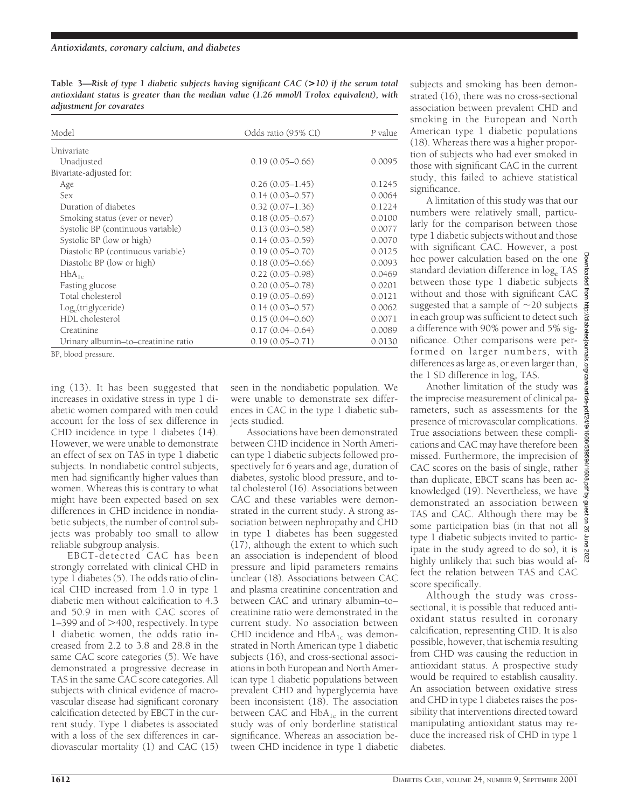**Table 3—***Risk of type 1 diabetic subjects having significant CAC (***>***10) if the serum total antioxidant status is greater than the median value (1.26 mmol/l Trolox equivalent), with adjustment for covarates*

| Model                               | Odds ratio (95% CI) | P value |
|-------------------------------------|---------------------|---------|
| Univariate                          |                     |         |
| Unadjusted                          | $0.19(0.05 - 0.66)$ | 0.0095  |
| Bivariate-adjusted for:             |                     |         |
| Age                                 | $0.26(0.05 - 1.45)$ | 0.1245  |
| <b>Sex</b>                          | $0.14(0.03 - 0.57)$ | 0.0064  |
| Duration of diabetes                | $0.32(0.07 - 1.36)$ | 0.1224  |
| Smoking status (ever or never)      | $0.18(0.05 - 0.67)$ | 0.0100  |
| Systolic BP (continuous variable)   | $0.13(0.03 - 0.58)$ | 0.0077  |
| Systolic BP (low or high)           | $0.14(0.03 - 0.59)$ | 0.0070  |
| Diastolic BP (continuous variable)  | $0.19(0.05 - 0.70)$ | 0.0125  |
| Diastolic BP (low or high)          | $0.18(0.05 - 0.66)$ | 0.0093  |
| $HbA_{1c}$                          | $0.22(0.05-0.98)$   | 0.0469  |
| Fasting glucose                     | $0.20(0.05 - 0.78)$ | 0.0201  |
| Total cholesterol                   | $0.19(0.05 - 0.69)$ | 0.0121  |
| $Log_e(\text{triglyceride})$        | $0.14(0.03 - 0.57)$ | 0.0062  |
| HDL cholesterol                     | $0.15(0.04 - 0.60)$ | 0.0071  |
| Creatinine                          | $0.17(0.04 - 0.64)$ | 0.0089  |
| Urinary albumin-to-creatinine ratio | $0.19(0.05 - 0.71)$ | 0.0130  |

BP, blood pressure.

ing (13). It has been suggested that increases in oxidative stress in type 1 diabetic women compared with men could account for the loss of sex difference in CHD incidence in type 1 diabetes (14). However, we were unable to demonstrate an effect of sex on TAS in type 1 diabetic subjects. In nondiabetic control subjects, men had significantly higher values than women. Whereas this is contrary to what might have been expected based on sex differences in CHD incidence in nondiabetic subjects, the number of control subjects was probably too small to allow reliable subgroup analysis.

EBCT-detected CAC has been strongly correlated with clinical CHD in type 1 diabetes (5). The odds ratio of clinical CHD increased from 1.0 in type 1 diabetic men without calcification to 4.3 and 50.9 in men with CAC scores of  $1-399$  and of  $>400$ , respectively. In type 1 diabetic women, the odds ratio increased from 2.2 to 3.8 and 28.8 in the same CAC score categories (5). We have demonstrated a progressive decrease in TAS in the same CAC score categories. All subjects with clinical evidence of macrovascular disease had significant coronary calcification detected by EBCT in the current study. Type 1 diabetes is associated with a loss of the sex differences in cardiovascular mortality (1) and CAC (15) seen in the nondiabetic population. We were unable to demonstrate sex differences in CAC in the type 1 diabetic subjects studied.

Associations have been demonstrated between CHD incidence in North American type 1 diabetic subjects followed prospectively for 6 years and age, duration of diabetes, systolic blood pressure, and total cholesterol (16). Associations between CAC and these variables were demonstrated in the current study. A strong association between nephropathy and CHD in type 1 diabetes has been suggested (17), although the extent to which such an association is independent of blood pressure and lipid parameters remains unclear (18). Associations between CAC and plasma creatinine concentration and between CAC and urinary albumin–to– creatinine ratio were demonstrated in the current study. No association between CHD incidence and  $HbA_{1c}$  was demonstrated in North American type 1 diabetic subjects (16), and cross-sectional associations in both European and North American type 1 diabetic populations between prevalent CHD and hyperglycemia have been inconsistent (18). The association between CAC and  $HbA_{1c}$  in the current study was of only borderline statistical significance. Whereas an association between CHD incidence in type 1 diabetic subjects and smoking has been demonstrated (16), there was no cross-sectional association between prevalent CHD and smoking in the European and North American type 1 diabetic populations (18). Whereas there was a higher proportion of subjects who had ever smoked in those with significant CAC in the current study, this failed to achieve statistical significance.

A limitation of this study was that our numbers were relatively small, particularly for the comparison between those type 1 diabetic subjects without and those with significant CAC. However, a post hoc power calculation based on the one standard deviation difference in log. TAS between those type 1 diabetic subjects without and those with significant CAC suggested that a sample of  $\sim$ 20 subjects in each group was sufficient to detect such a difference with 90% power and 5% significance. Other comparisons were performed on larger numbers, with differences as large as, or even larger than, the 1 SD difference in  $log_e$  TAS.

Another limitation of the study was the imprecise measurement of clinical parameters, such as assessments for the presence of microvascular complications. True associations between these complications and CAC may have therefore been missed. Furthermore, the imprecision of CAC scores on the basis of single, rather than duplicate, EBCT scans has been acknowledged (19). Nevertheless, we have demonstrated an association between TAS and CAC. Although there may be some participation bias (in that not all type 1 diabetic subjects invited to participate in the study agreed to do so), it is highly unlikely that such bias would affect the relation between TAS and CAC score specifically.

Although the study was crosssectional, it is possible that reduced antioxidant status resulted in coronary calcification, representing CHD. It is also possible, however, that ischemia resulting from CHD was causing the reduction in antioxidant status. A prospective study would be required to establish causality. An association between oxidative stress and CHD in type 1 diabetes raises the possibility that interventions directed toward manipulating antioxidant status may reduce the increased risk of CHD in type 1 diabetes.